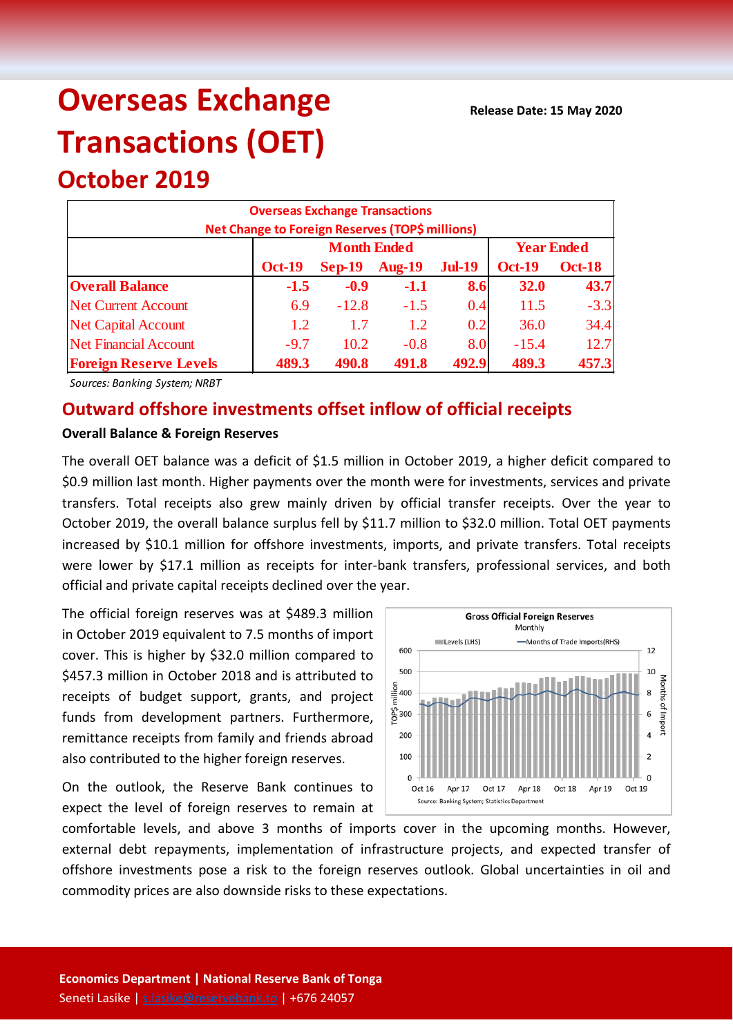# **Overseas Exchange Transactions (OET)**

# **Overseas Exchange Transactions Net Change to Foreign Reserves (TOP\$ millions) Oct-19 Sep-19 Aug-19 Jul-19 Oct-19 Oct-18 Overall Balance -1.5 -0.9 -1.1 8.6 32.0 43.7** Net Current Account 6.9 -12.8 -1.5 0.4 11.5 -3.3 Net Capital Account (a)  $1.2$  1.7 1.2 0.2 36.0 34.4 Net Financial Account  $-9.7$  10.2  $-0.8$  8.0  $-15.4$  12.7 **Foreign Reserve Levels 489.3 490.8 491.8 492.9 489.3 457.3 Month Ended Year Ended**

*Sources: Banking System; NRBT*

**October 2019**

## **Outward offshore investments offset inflow of official receipts**

#### **Overall Balance & Foreign Reserves**

The overall OET balance was a deficit of \$1.5 million in October 2019, a higher deficit compared to \$0.9 million last month. Higher payments over the month were for investments, services and private transfers. Total receipts also grew mainly driven by official transfer receipts. Over the year to October 2019, the overall balance surplus fell by \$11.7 million to \$32.0 million. Total OET payments increased by \$10.1 million for offshore investments, imports, and private transfers. Total receipts were lower by \$17.1 million as receipts for inter-bank transfers, professional services, and both official and private capital receipts declined over the year.

The official foreign reserves was at \$489.3 million in October 2019 equivalent to 7.5 months of import cover. This is higher by \$32.0 million compared to \$457.3 million in October 2018 and is attributed to receipts of budget support, grants, and project funds from development partners. Furthermore, remittance receipts from family and friends abroad also contributed to the higher foreign reserves.

On the outlook, the Reserve Bank continues to expect the level of foreign reserves to remain at



comfortable levels, and above 3 months of imports cover in the upcoming months. However, external debt repayments, implementation of infrastructure projects, and expected transfer of offshore investments pose a risk to the foreign reserves outlook. Global uncertainties in oil and commodity prices are also downside risks to these expectations.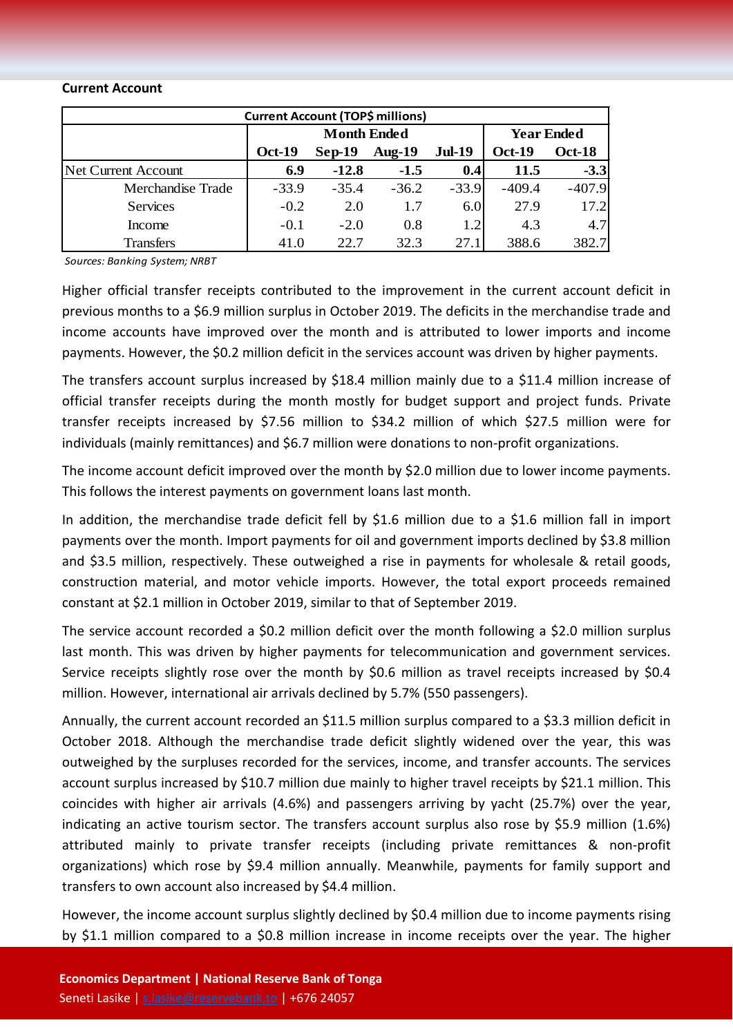#### **Current Account**

| <b>Current Account (TOP\$ millions)</b> |               |                    |                   |               |               |               |  |  |
|-----------------------------------------|---------------|--------------------|-------------------|---------------|---------------|---------------|--|--|
|                                         |               | <b>Month Ended</b> | <b>Year Ended</b> |               |               |               |  |  |
|                                         | <b>Oct-19</b> | $Sep-19$           | Aug- $19$         | <b>Jul-19</b> | <b>Oct-19</b> | <b>Oct-18</b> |  |  |
| Net Current Account                     | 6.9           | $-12.8$            | $-1.5$            | 0.4           | 11.5          | $-3.3$        |  |  |
| Merchandise Trade                       | $-33.9$       | $-35.4$            | $-36.2$           | $-33.9$       | $-409.4$      | $-407.9$      |  |  |
| <b>Services</b>                         | $-0.2$        | 2.0                | 1.7               | 6.0           | 27.9          | 17.2          |  |  |
| Income                                  | $-0.1$        | $-2.0$             | 0.8               | 1.2           | 4.3           | 4.7           |  |  |
| <b>Transfers</b>                        | 41.0          | 22.7               | 32.3              | 27.1          | 388.6         | 382.7         |  |  |

*Sources: Banking System; NRBT*

Higher official transfer receipts contributed to the improvement in the current account deficit in previous months to a \$6.9 million surplus in October 2019. The deficits in the merchandise trade and income accounts have improved over the month and is attributed to lower imports and income payments. However, the \$0.2 million deficit in the services account was driven by higher payments.

The transfers account surplus increased by \$18.4 million mainly due to a \$11.4 million increase of official transfer receipts during the month mostly for budget support and project funds. Private transfer receipts increased by \$7.56 million to \$34.2 million of which \$27.5 million were for individuals (mainly remittances) and \$6.7 million were donations to non-profit organizations.

The income account deficit improved over the month by \$2.0 million due to lower income payments. This follows the interest payments on government loans last month.

In addition, the merchandise trade deficit fell by \$1.6 million due to a \$1.6 million fall in import payments over the month. Import payments for oil and government imports declined by \$3.8 million and \$3.5 million, respectively. These outweighed a rise in payments for wholesale & retail goods, construction material, and motor vehicle imports. However, the total export proceeds remained constant at \$2.1 million in October 2019, similar to that of September 2019.

The service account recorded a \$0.2 million deficit over the month following a \$2.0 million surplus last month. This was driven by higher payments for telecommunication and government services. Service receipts slightly rose over the month by \$0.6 million as travel receipts increased by \$0.4 million. However, international air arrivals declined by 5.7% (550 passengers).

Annually, the current account recorded an \$11.5 million surplus compared to a \$3.3 million deficit in October 2018. Although the merchandise trade deficit slightly widened over the year, this was outweighed by the surpluses recorded for the services, income, and transfer accounts. The services account surplus increased by \$10.7 million due mainly to higher travel receipts by \$21.1 million. This coincides with higher air arrivals (4.6%) and passengers arriving by yacht (25.7%) over the year, indicating an active tourism sector. The transfers account surplus also rose by \$5.9 million (1.6%) attributed mainly to private transfer receipts (including private remittances & non-profit organizations) which rose by \$9.4 million annually. Meanwhile, payments for family support and transfers to own account also increased by \$4.4 million.

However, the income account surplus slightly declined by \$0.4 million due to income payments rising by \$1.1 million compared to a \$0.8 million increase in income receipts over the year. The higher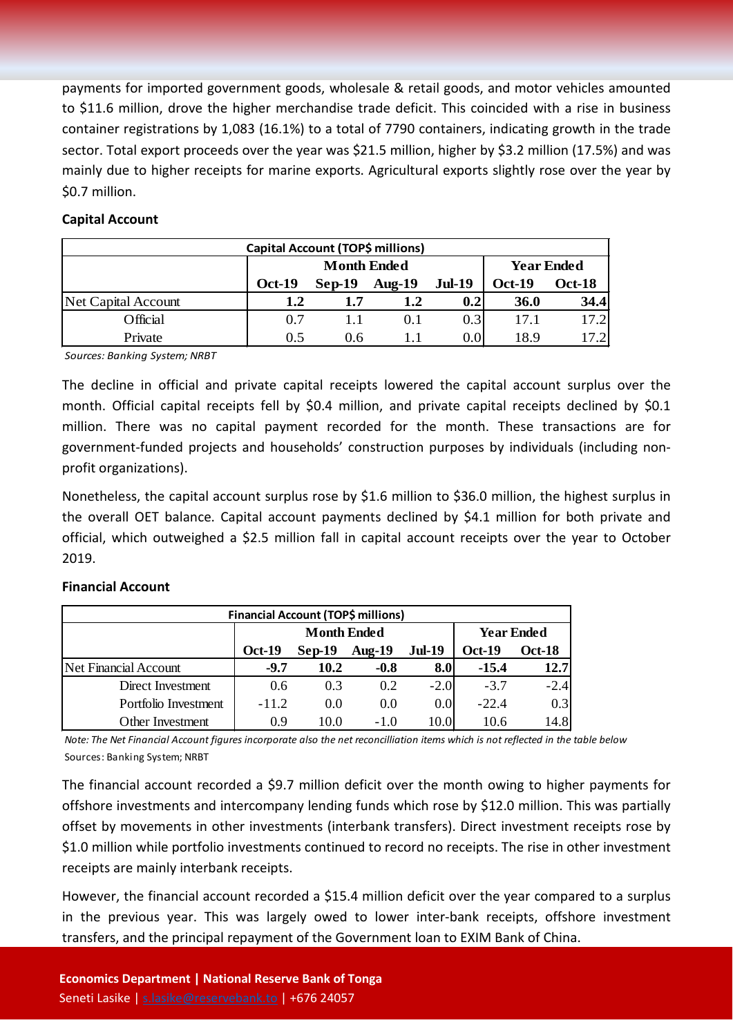payments for imported government goods, wholesale & retail goods, and motor vehicles amounted to \$11.6 million, drove the higher merchandise trade deficit. This coincided with a rise in business container registrations by 1,083 (16.1%) to a total of 7790 containers, indicating growth in the trade sector. Total export proceeds over the year was \$21.5 million, higher by \$3.2 million (17.5%) and was mainly due to higher receipts for marine exports. Agricultural exports slightly rose over the year by \$0.7 million.

## **Capital Account**

| Capital Account (TOP\$ millions) |               |                    |                   |               |                                |       |  |  |
|----------------------------------|---------------|--------------------|-------------------|---------------|--------------------------------|-------|--|--|
|                                  |               | <b>Month Ended</b> | <b>Year Ended</b> |               |                                |       |  |  |
|                                  | <b>Oct-19</b> | $Sep-19$           | Aug- $19$         | <b>Jul-19</b> | <b>Oct-18</b><br><b>Oct-19</b> |       |  |  |
| Net Capital Account              | 1.2           | 1.7                | 1.2               | 0.2           | <b>36.0</b>                    | 34.4  |  |  |
| Official                         | 0.7           |                    | 0.1               | 0.3           | 17.1                           | 17.2  |  |  |
| Private                          | 0.5           | 0.6                |                   | 0.0           | 18.9                           | 17.21 |  |  |

*Sources: Banking System; NRBT*

The decline in official and private capital receipts lowered the capital account surplus over the month. Official capital receipts fell by \$0.4 million, and private capital receipts declined by \$0.1 million. There was no capital payment recorded for the month. These transactions are for government-funded projects and households' construction purposes by individuals (including nonprofit organizations).

Nonetheless, the capital account surplus rose by \$1.6 million to \$36.0 million, the highest surplus in the overall OET balance. Capital account payments declined by \$4.1 million for both private and official, which outweighed a \$2.5 million fall in capital account receipts over the year to October 2019.

### **Financial Account**

| Financial Account (TOP\$ millions) |               |                    |                   |               |         |        |  |  |
|------------------------------------|---------------|--------------------|-------------------|---------------|---------|--------|--|--|
|                                    |               | <b>Month Ended</b> | <b>Year Ended</b> |               |         |        |  |  |
|                                    | <b>Oct-19</b> | $Sep-19$           | Aug- $19$         | <b>Oct-18</b> |         |        |  |  |
| Net Financial Account              | $-9.7$        | 10.2               | $-0.8$            | 8.0           | $-15.4$ | 12.7   |  |  |
| Direct Investment                  | 0.6           | 0.3                | 0.2               | $-2.0$        | $-3.7$  | $-2.4$ |  |  |
| Portfolio Investment               | $-11.2$       | 0.0                | 0.0               | 0.0           | $-22.4$ | 0.3    |  |  |
| Other Investment                   | 0.9           | 10.0               | $-1.0$            | 10.0I         | 10.6    | 14.8   |  |  |

*Note: The Net Financial Account figures incorporate also the net reconcilliation items which is not reflected in the table below* Sources: Banking System; NRBT

The financial account recorded a \$9.7 million deficit over the month owing to higher payments for offshore investments and intercompany lending funds which rose by \$12.0 million. This was partially offset by movements in other investments (interbank transfers). Direct investment receipts rose by \$1.0 million while portfolio investments continued to record no receipts. The rise in other investment receipts are mainly interbank receipts.

However, the financial account recorded a \$15.4 million deficit over the year compared to a surplus in the previous year. This was largely owed to lower inter-bank receipts, offshore investment transfers, and the principal repayment of the Government loan to EXIM Bank of China.